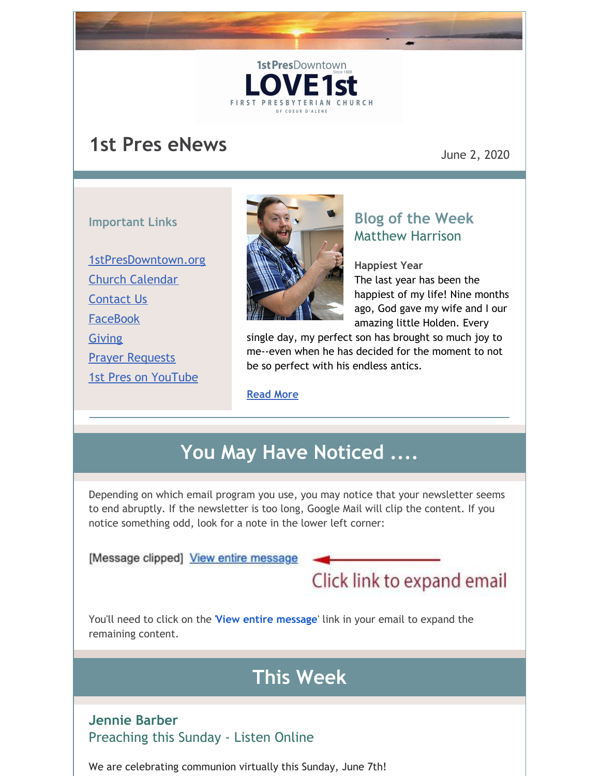## **1st Pres eNews**

June 2, 2020

#### **Important Links**

[1stPresDowntown.org](http://www.1stpresdowntown.org/) Church [Calendar](http://www.1stpresdowntown.org/calendar/) [Contact](http://www.1stpresdowntown.org/contact/) Us **[FaceBook](https://www.facebook.com/cdadowntownchurch/)** [Giving](https://www.eservicepayments.com/cgi-bin/Vanco_ver3.vps?appver3=Fi1giPL8kwX_Oe1AO50jRhFtjI3jPush-TiV_cWeMqos4NSQukCYDzKLUtTTUlsf2EvVVAEjqawDomKT1pbouWbIw4yEvEZZftNOfs1-eIM%3D&ver=3) **Prayer [Requests](http://www.1stpresdowntown.org/contact/)** 1st Pres on [YouTube](https://www.youtube.com/channel/UCCfruZriuZfS2hVar79nXbQ)



1st PresDowntown

**FIRST PRESBYTE** 

### **Blog of the Week** Matthew Harrison

**Happiest Year** The last year has been the happiest of my life! Nine months ago, God gave my wife and I our amazing little Holden. Every

single day, my perfect son has brought so much joy to me--even when he has decided for the moment to not be so perfect with his endless antics.

#### **[Read](http://www.1stpresdowntown.org/happiest-year/) More**

# **You May Have Noticed ....**

Depending on which email program you use, you may notice that your newsletter seems to end abruptly. If the newsletter is too long, Google Mail will clip the content. If you notice something odd, look for a note in the lower left corner:

[Message clipped] View entire message

Click link to expand email

You'll need to click on the '**View entire message**' link in your email to expand the remaining content.

# **This Week**

#### **Jennie Barber** Preaching this Sunday - Listen Online

We are celebrating communion virtually this Sunday, June 7th!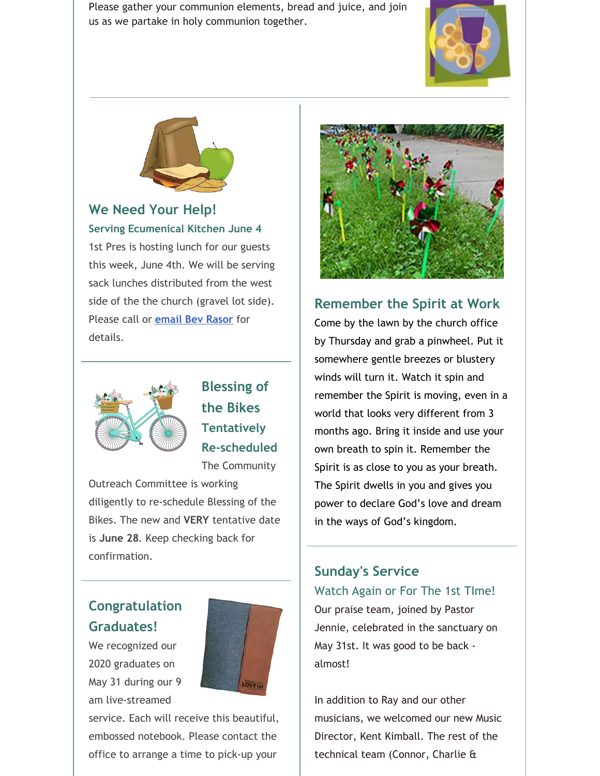Please gather your communion elements, bread and juice, and join us as we partake in holy communion together.





**We Need Your Help!**

**Serving Ecumenical Kitchen June 4** 1st Pres is hosting lunch for our guests this week, June 4th. We will be serving sack lunches distributed from the west side of the the church (gravel lot side). Please call or **[email](mailto:bevrasor@frontier.com) Bev Rasor** for details.



**Blessing of the Bikes Tentatively Re-scheduled**

The Community

Outreach Committee is working diligently to re-schedule Blessing of the Bikes. The new and **VERY** tentative date is **June 28**. Keep checking back for confirmation.

### **Congratulation Graduates!**

We recognized our 2020 graduates on May 31 during our 9 am live-streamed



service. Each will receive this beautiful, embossed notebook. Please contact the office to arrange a time to pick-up your



**Remember the Spirit at Work**

Come by the lawn by the church office by Thursday and grab a pinwheel. Put it somewhere gentle breezes or blustery winds will turn it. Watch it spin and remember the Spirit is moving, even in a world that looks very different from 3 months ago. Bring it inside and use your own breath to spin it. Remember the Spirit is as close to you as your breath. The Spirit dwells in you and gives you power to declare God's love and dream in the ways of God's kingdom.

### **Sunday's Service**

Watch Again or For The 1st TIme!

Our praise team, joined by Pastor Jennie, celebrated in the sanctuary on May 31st. It was good to be back almost!

In addition to Ray and our other musicians, we welcomed our new Music Director, Kent Kimball. The rest of the technical team (Connor, Charlie &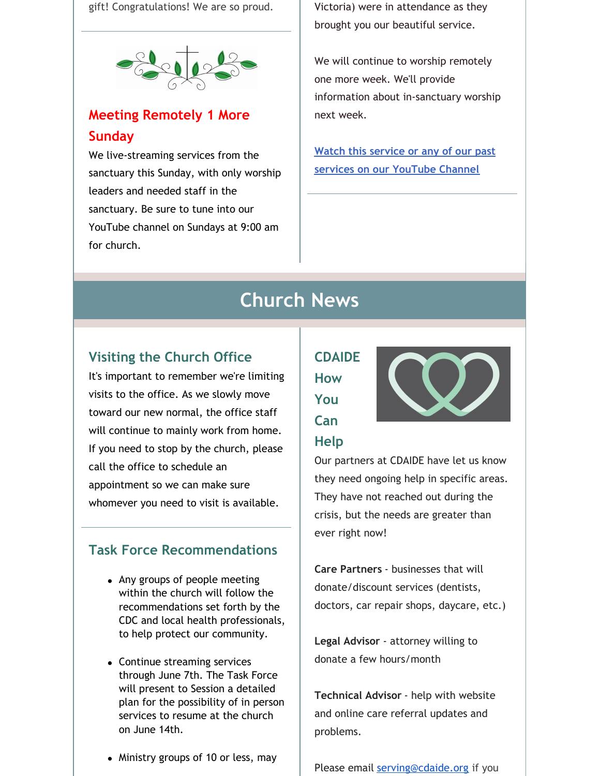gift! Congratulations! We are so proud.



### **Meeting Remotely 1 More Sunday**

We live-streaming services from the sanctuary this Sunday, with only worship leaders and needed staff in the sanctuary. Be sure to tune into our YouTube channel on Sundays at 9:00 am for church.

Victoria) were in attendance as they brought you our beautiful service.

We will continue to worship remotely one more week. We'll provide information about in-sanctuary worship next week.

**Watch this service or any of our past services on our [YouTube](https://www.youtube.com/channel/UCCfruZriuZfS2hVar79nXbQ) Channel**

## **Church News**

### **Visiting the Church Office**

It's important to remember we're limiting visits to the office. As we slowly move toward our new normal, the office staff will continue to mainly work from home. If you need to stop by the church, please call the office to schedule an appointment so we can make sure whomever you need to visit is available.

#### **Task Force Recommendations**

- Any groups of people meeting within the church will follow the recommendations set forth by the CDC and local health professionals, to help protect our community.
- Continue streaming services through June 7th. The Task Force will present to Session a detailed plan for the possibility of in person services to resume at the church on June 14th.
- Ministry groups of 10 or less, may

## **CDAIDE How You Can**



# **Help**

Our partners at CDAIDE have let us know they need ongoing help in specific areas. They have not reached out during the crisis, but the needs are greater than ever right now!

**Care Partners** - businesses that will donate/discount services (dentists, doctors, car repair shops, daycare, etc.)

**Legal Advisor** - attorney willing to donate a few hours/month

**Technical Advisor** - help with website and online care referral updates and problems.

Please email [serving@cdaide.org](mailto:serving@cdaide.org) if you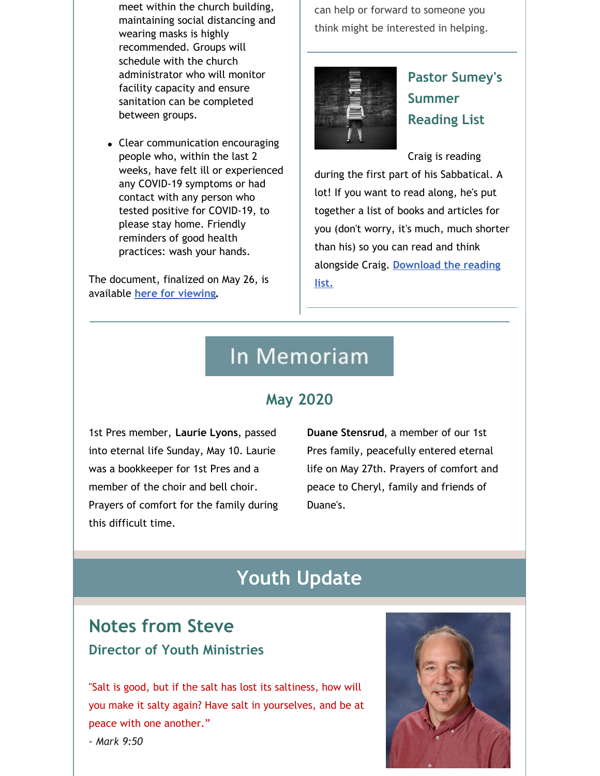meet within the church building, maintaining social distancing and wearing masks is highly recommended. Groups will schedule with the church administrator who will monitor facility capacity and ensure sanitation can be completed between groups.

Clear communication encouraging people who, within the last 2 weeks, have felt ill or experienced any COVID-19 symptoms or had contact with any person who tested positive for COVID-19, to please stay home. Friendly reminders of good health practices: wash your hands.

The document, finalized on May 26, is available **here for [viewing](http://www.1stpresdowntown.org/covid-19-task-force-recommendations-5_26_20/).**

can help or forward to someone you think might be interested in helping.



## **Pastor Sumey's Summer Reading List**

Craig is reading

during the first part of his Sabbatical. A lot! If you want to read along, he's put together a list of books and articles for you (don't worry, it's much, much shorter than his) so you can read and think alongside Craig. **[Download](https://files.constantcontact.com/1d935adc001/1abf8692-150f-4ac3-9390-c817944dc3ce.pdf) the reading list.**

## In Memoriam

### **May 2020**

1st Pres member, **Laurie Lyons**, passed into eternal life Sunday, May 10. Laurie was a bookkeeper for 1st Pres and a member of the choir and bell choir. Prayers of comfort for the family during this difficult time.

**Duane Stensrud**, a member of our 1st Pres family, peacefully entered eternal life on May 27th. Prayers of comfort and peace to Cheryl, family and friends of Duane's.

## **Youth Update**

## **Notes from Steve Director of Youth Ministries**

"Salt is good, but if the salt has lost its saltiness, how will you make it salty again? Have salt in yourselves, and be at peace with one another."



*- Mark 9:50*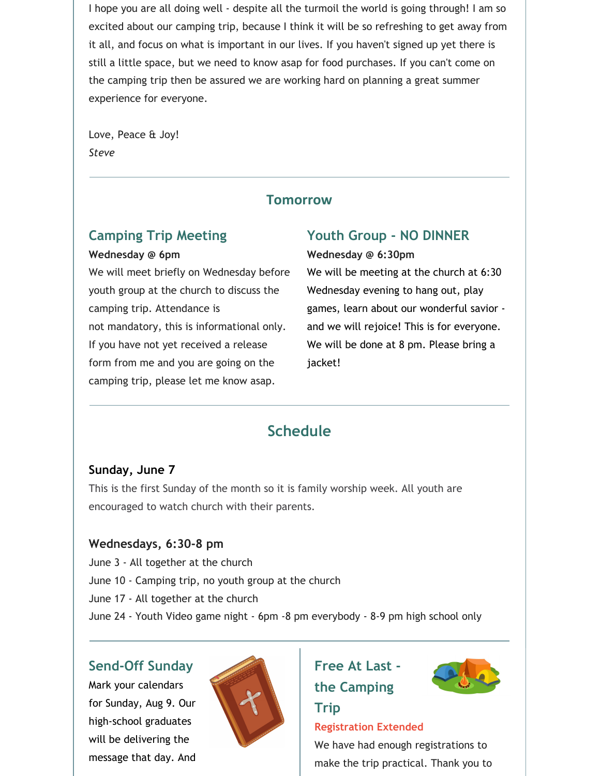I hope you are all doing well - despite all the turmoil the world is going through! I am so excited about our camping trip, because I think it will be so refreshing to get away from it all, and focus on what is important in our lives. If you haven't signed up yet there is still a little space, but we need to know asap for food purchases. If you can't come on the camping trip then be assured we are working hard on planning a great summer experience for everyone.

Love, Peace & Joy! *Steve*

#### **Tomorrow**

### **Camping Trip Meeting**

#### **Wednesday @ 6pm**

We will meet briefly on Wednesday before youth group at the church to discuss the camping trip. Attendance is not mandatory, this is informational only. If you have not yet received a release form from me and you are going on the camping trip, please let me know asap.

### **Youth Group - NO DINNER**

#### **Wednesday @ 6:30pm**

We will be meeting at the church at 6:30 Wednesday evening to hang out, play games, learn about our wonderful savior and we will rejoice! This is for everyone. We will be done at 8 pm. Please bring a jacket!

### **Schedule**

#### **Sunday, June 7**

This is the first Sunday of the month so it is family worship week. All youth are encouraged to watch church with their parents.

#### **Wednesdays, 6:30-8 pm**

June 3 - All together at the church June 10 - Camping trip, no youth group at the church June 17 - All together at the church June 24 - Youth Video game night - 6pm -8 pm everybody - 8-9 pm high school only

#### **Send-Off Sunday**

Mark your calendars for Sunday, Aug 9. Our high-school graduates will be delivering the message that day. And



### **Free At Last the Camping**

**Trip**



### **Registration Extended**

We have had enough registrations to make the trip practical. Thank you to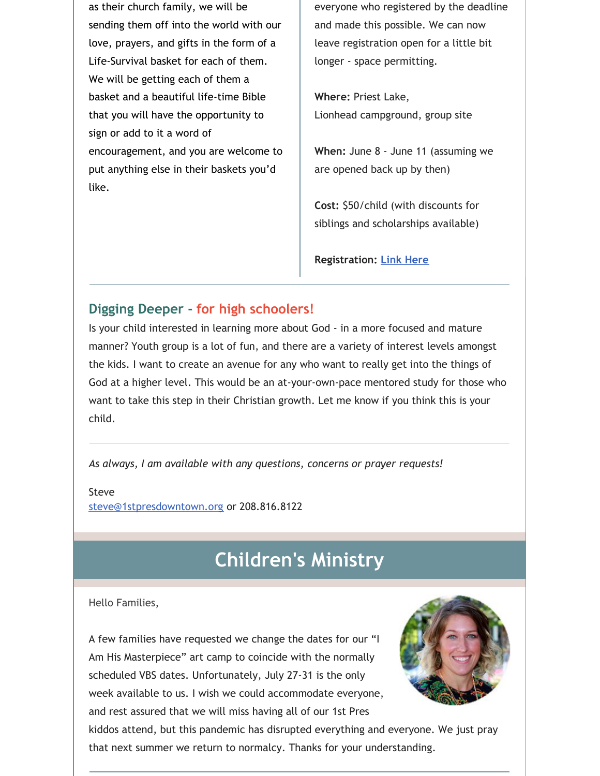as their church family, we will be sending them off into the world with our love, prayers, and gifts in the form of a Life-Survival basket for each of them. We will be getting each of them a basket and a beautiful life-time Bible that you will have the opportunity to sign or add to it a word of encouragement, and you are welcome to put anything else in their baskets you'd like.

everyone who registered by the deadline and made this possible. We can now leave registration open for a little bit longer - space permitting.

**Where:** Priest Lake, Lionhead campground, group site

**When:** June 8 - June 11 (assuming we are opened back up by then)

**Cost:** \$50/child (with discounts for siblings and scholarships available)

**Registration: Link [Here](https://1stpres.churchcenter.com/registrations/events/419932)**

### **Digging Deeper - for high schoolers!**

Is your child interested in learning more about God - in a more focused and mature manner? Youth group is a lot of fun, and there are a variety of interest levels amongst the kids. I want to create an avenue for any who want to really get into the things of God at a higher level. This would be an at-your-own-pace mentored study for those who want to take this step in their Christian growth. Let me know if you think this is your child.

*As always, I am available with any questions, concerns or prayer requests!*

Steve [steve@1stpresdowntown.org](mailto:steve@1stpresdowntown.org) or 208.816.8122

## **Children's Ministry**

Hello Families,

A few families have requested we change the dates for our "I Am His Masterpiece" art camp to coincide with the normally scheduled VBS dates. Unfortunately, July 27-31 is the only week available to us. I wish we could accommodate everyone, and rest assured that we will miss having all of our 1st Pres



kiddos attend, but this pandemic has disrupted everything and everyone. We just pray that next summer we return to normalcy. Thanks for your understanding.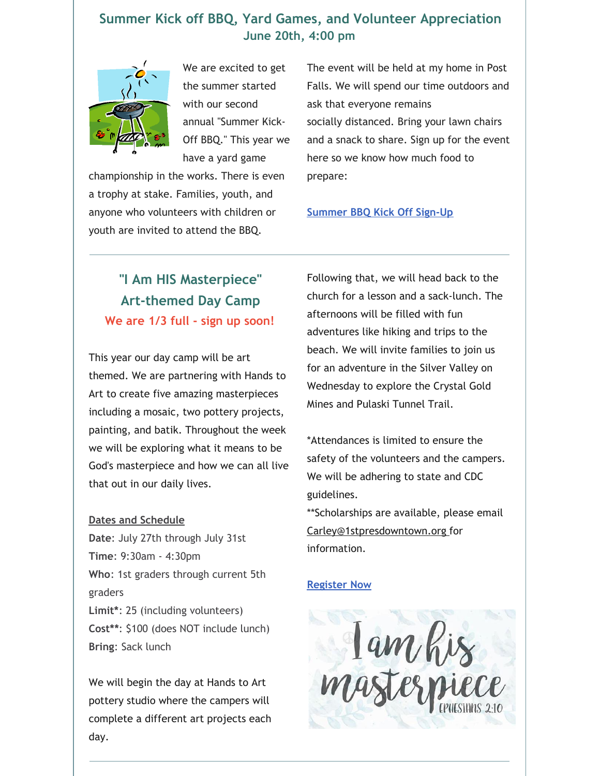#### **Summer Kick off BBQ, Yard Games, and Volunteer Appreciation June 20th, 4:00 pm**



We are excited to get the summer started with our second annual "Summer Kick-Off BBQ." This year we have a yard game

championship in the works. There is even a trophy at stake. Families, youth, and anyone who volunteers with children or youth are invited to attend the BBQ.

The event will be held at my home in Post Falls. We will spend our time outdoors and ask that everyone remains socially distanced. Bring your lawn chairs and a snack to share. Sign up for the event here so we know how much food to prepare:

#### **[Summer](https://docs.google.com/spreadsheets/d/1OyqFOADt1Vpmx36o9iE64S0n3C3uG-37V0mgoMeFwTs/edit?usp=sharing) BBQ Kick Off Sign-Up**

### **"I Am HIS Masterpiece" Art-themed Day Camp We are 1/3 full - sign up soon!**

This year our day camp will be art themed. We are partnering with Hands to Art to create five amazing masterpieces including a mosaic, two pottery projects, painting, and batik. Throughout the week we will be exploring what it means to be God's masterpiece and how we can all live that out in our daily lives.

#### **Dates and Schedule**

**Date**: July 27th through July 31st **Time**: 9:30am - 4:30pm **Who**: 1st graders through current 5th graders **Limit\***: 25 (including volunteers) **Cost\*\***: \$100 (does NOT include lunch) **Bring**: Sack lunch

We will begin the day at Hands to Art pottery studio where the campers will complete a different art projects each day.

Following that, we will head back to the church for a lesson and a sack-lunch. The afternoons will be filled with fun adventures like hiking and trips to the beach. We will invite families to join us for an adventure in the Silver Valley on Wednesday to explore the Crystal Gold Mines and Pulaski Tunnel Trail.

\*Attendances is limited to ensure the safety of the volunteers and the campers. We will be adhering to state and CDC guidelines.

\*\*Scholarships are available, please email [Carley@1stpresdowntown.org](mailto:Carley@1stpresdowntown.org) for information.

#### **[Register](https://1stpres.churchcenter.com/registrations/events/429465) Now**

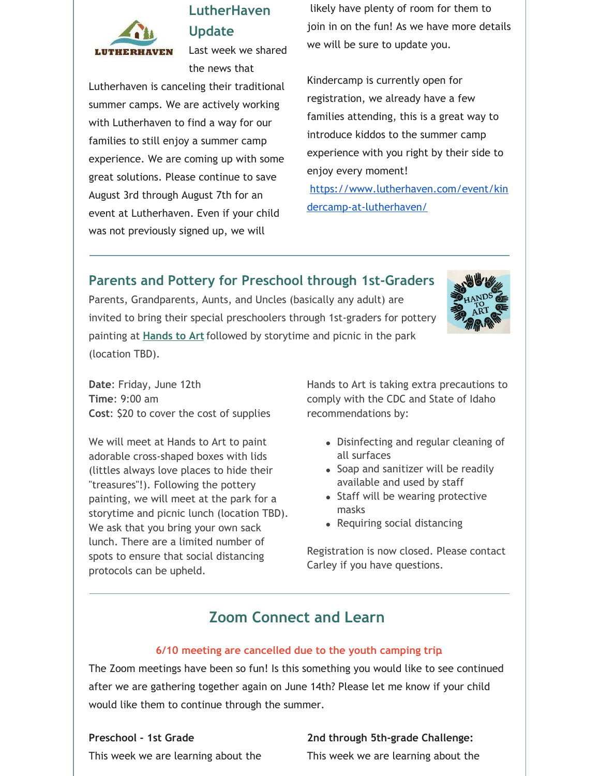

### **LutherHaven Update**

Last week we shared the news that

Lutherhaven is canceling their traditional summer camps. We are actively working with Lutherhaven to find a way for our families to still enjoy a summer camp experience. We are coming up with some great solutions. Please continue to save August 3rd through August 7th for an event at Lutherhaven. Even if your child was not previously signed up, we will

likely have plenty of room for them to join in on the fun! As we have more details we will be sure to update you.

Kindercamp is currently open for registration, we already have a few families attending, this is a great way to introduce kiddos to the summer camp experience with you right by their side to enjoy every moment! [https://www.lutherhaven.com/event/kin](https://www.lutherhaven.com/event/kindercamp-at-lutherhaven/)

dercamp-at-lutherhaven/

### **Parents and Pottery for Preschool through 1st-Graders**

Parents, Grandparents, Aunts, and Uncles (basically any adult) are invited to bring their special preschoolers through 1st-graders for pottery painting at **[Hands](https://www.handstoart.com/) to Art**followed by storytime and picnic in the park (location TBD).



**Date**: Friday, June 12th **Time**: 9:00 am **Cost**: \$20 to cover the cost of supplies

We will meet at Hands to Art to paint adorable cross-shaped boxes with lids (littles always love places to hide their "treasures"!). Following the pottery painting, we will meet at the park for a storytime and picnic lunch (location TBD). We ask that you bring your own sack lunch. There are a limited number of spots to ensure that social distancing protocols can be upheld.

Hands to Art is taking extra precautions to comply with the CDC and State of Idaho recommendations by:

- Disinfecting and regular cleaning of all surfaces
- Soap and sanitizer will be readily available and used by staff
- Staff will be wearing protective masks
- Requiring social distancing

Registration is now closed. Please contact Carley if you have questions.

### **Zoom Connect and Learn**

#### **6/10 meeting are cancelled due to the youth camping trip**.

The Zoom meetings have been so fun! Is this something you would like to see continued after we are gathering together again on June 14th? Please let me know if your child would like them to continue through the summer.

#### **Preschool - 1st Grade**

#### **2nd through 5th-grade Challenge:**

This week we are learning about the

This week we are learning about the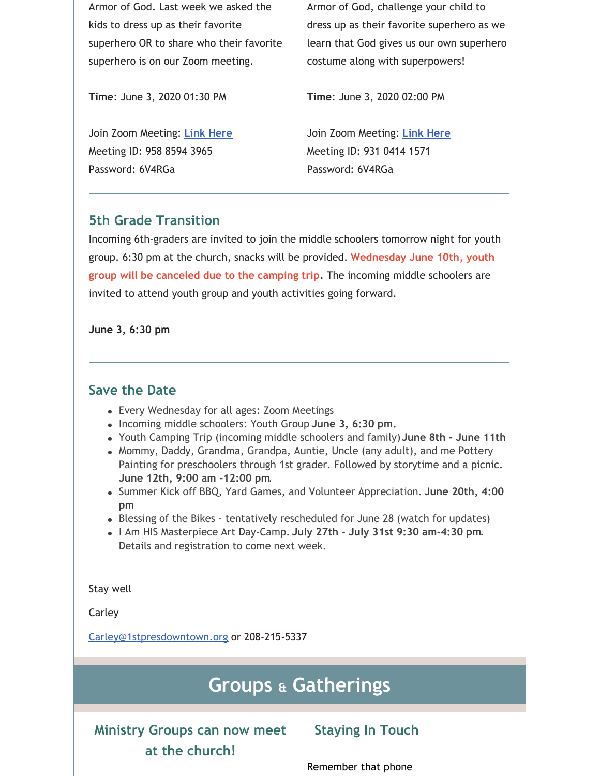Armor of God. Last week we asked the kids to dress up as their favorite superhero OR to share who their favorite superhero is on our Zoom meeting.

Armor of God, challenge your child to dress up as their favorite superhero as we learn that God gives us our own superhero costume along with superpowers!

**Time**: June 3, 2020 01:30 PM

Join Zoom Meeting: **Link [Here](https://zoom.us/j/95885943965?pwd=L0R0UVFHOUZLQTlnMlJ4dVZRQ3NnQT09)** Meeting ID: 958 8594 3965 Password: 6V4RGa

**Time**: June 3, 2020 02:00 PM

Join Zoom Meeting: **Link [Here](https://zoom.us/j/93104141571?pwd=cHRZVS9sMmtickNXSTBjMVJhbEk2Zz09)** Meeting ID: 931 0414 1571 Password: 6V4RGa

#### **5th Grade Transition**

Incoming 6th-graders are invited to join the middle schoolers tomorrow night for youth group. 6:30 pm at the church, snacks will be provided. **Wednesday June 10th, youth group will be canceled due to the camping trip.** The incoming middle schoolers are invited to attend youth group and youth activities going forward.

**June 3, 6:30 pm**

#### **Save the Date**

- Every Wednesday for all ages: Zoom Meetings
- Incoming middle schoolers: Youth Group **June 3, 6:30 pm.**
- Youth Camping Trip (incoming middle schoolers and family)**June 8th - June 11th**
- Mommy, Daddy, Grandma, Grandpa, Auntie, Uncle (any adult), and me Pottery Painting for preschoolers through 1st grader. Followed by storytime and a picnic. **June 12th, 9:00 am -12:00 pm**.
- Summer Kick off BBQ, Yard Games, and Volunteer Appreciation. **June 20th, 4:00 pm**
- Blessing of the Bikes tentatively rescheduled for June 28 (watch for updates)
- I Am HIS Masterpiece Art Day-Camp. **July 27th - July 31st 9:30 am-4:30 pm**. Details and registration to come next week.

Stay well

Carley

[Carley@1stpresdowntown.org](mailto:Carley@1stpresdowntown.org) or 208-215-5337

## **Groups & Gatherings**

**Ministry Groups can now meet at the church!**

**Staying In Touch**

Remember that phone